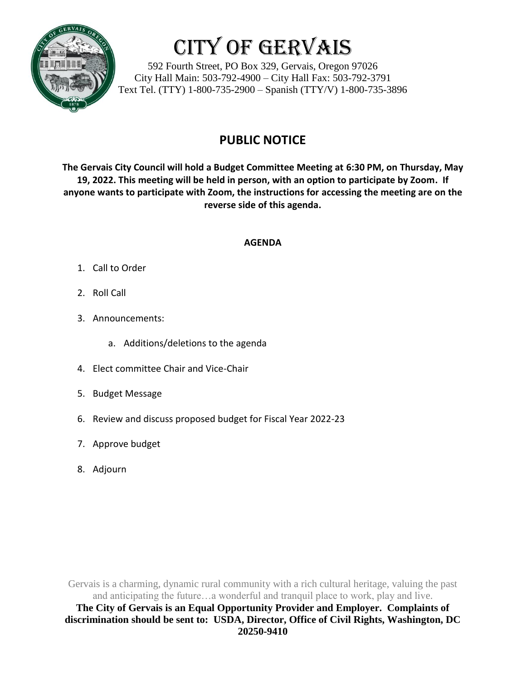

# City of Gervais

592 Fourth Street, PO Box 329, Gervais, Oregon 97026 City Hall Main: 503-792-4900 – City Hall Fax: 503-792-3791 Text Tel. (TTY) 1-800-735-2900 – Spanish (TTY/V) 1-800-735-3896

## **PUBLIC NOTICE**

**The Gervais City Council will hold a Budget Committee Meeting at 6:30 PM, on Thursday, May 19, 2022. This meeting will be held in person, with an option to participate by Zoom. If anyone wants to participate with Zoom, the instructions for accessing the meeting are on the reverse side of this agenda.**

### **AGENDA**

- 1. Call to Order
- 2. Roll Call
- 3. Announcements:
	- a. Additions/deletions to the agenda
- 4. Elect committee Chair and Vice-Chair
- 5. Budget Message
- 6. Review and discuss proposed budget for Fiscal Year 2022-23
- 7. Approve budget
- 8. Adjourn

Gervais is a charming, dynamic rural community with a rich cultural heritage, valuing the past and anticipating the future…a wonderful and tranquil place to work, play and live. **The City of Gervais is an Equal Opportunity Provider and Employer. Complaints of discrimination should be sent to: USDA, Director, Office of Civil Rights, Washington, DC 20250-9410**